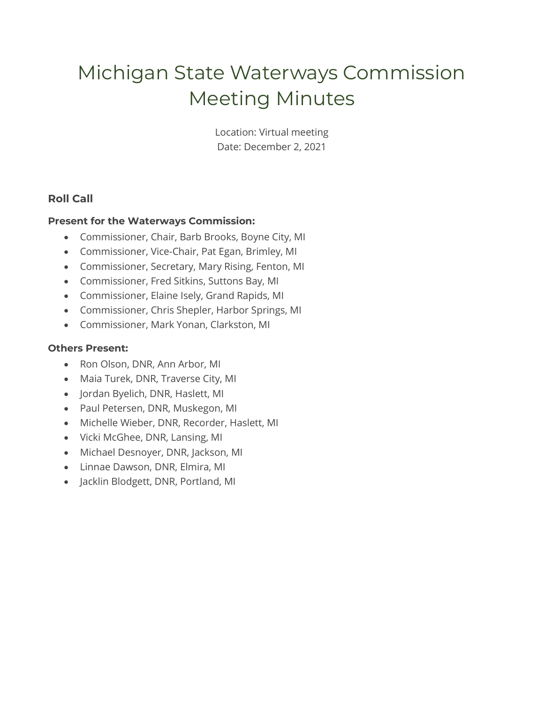# Michigan State Waterways Commission Meeting Minutes

Location: Virtual meeting Date: December 2, 2021

# **Roll Call**

# **Present for the Waterways Commission:**

- Commissioner, Chair, Barb Brooks, Boyne City, MI
- Commissioner, Vice-Chair, Pat Egan, Brimley, MI
- Commissioner, Secretary, Mary Rising, Fenton, MI
- Commissioner, Fred Sitkins, Suttons Bay, MI
- Commissioner, Elaine Isely, Grand Rapids, MI
- Commissioner, Chris Shepler, Harbor Springs, MI
- Commissioner, Mark Yonan, Clarkston, MI

## **Others Present:**

- Ron Olson, DNR, Ann Arbor, MI
- Maia Turek, DNR, Traverse City, MI
- Jordan Byelich, DNR, Haslett, MI
- Paul Petersen, DNR, Muskegon, MI
- Michelle Wieber, DNR, Recorder, Haslett, MI
- Vicki McGhee, DNR, Lansing, MI
- Michael Desnoyer, DNR, Jackson, MI
- Linnae Dawson, DNR, Elmira, MI
- Jacklin Blodgett, DNR, Portland, MI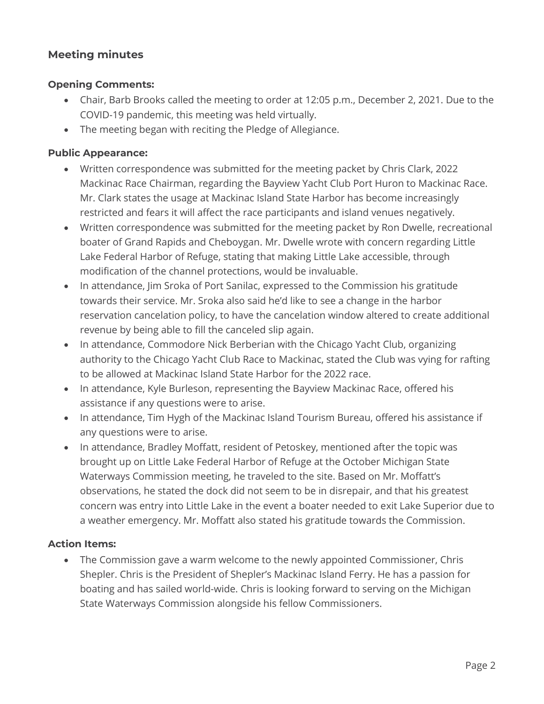# **Meeting minutes**

## **Opening Comments:**

- Chair, Barb Brooks called the meeting to order at 12:05 p.m., December 2, 2021. Due to the COVID-19 pandemic, this meeting was held virtually.
- The meeting began with reciting the Pledge of Allegiance.

# **Public Appearance:**

- Written correspondence was submitted for the meeting packet by Chris Clark, 2022 Mackinac Race Chairman, regarding the Bayview Yacht Club Port Huron to Mackinac Race. Mr. Clark states the usage at Mackinac Island State Harbor has become increasingly restricted and fears it will affect the race participants and island venues negatively.
- Written correspondence was submitted for the meeting packet by Ron Dwelle, recreational boater of Grand Rapids and Cheboygan. Mr. Dwelle wrote with concern regarding Little Lake Federal Harbor of Refuge, stating that making Little Lake accessible, through modification of the channel protections, would be invaluable.
- In attendance, Jim Sroka of Port Sanilac, expressed to the Commission his gratitude towards their service. Mr. Sroka also said he'd like to see a change in the harbor reservation cancelation policy, to have the cancelation window altered to create additional revenue by being able to fill the canceled slip again.
- In attendance, Commodore Nick Berberian with the Chicago Yacht Club, organizing authority to the Chicago Yacht Club Race to Mackinac, stated the Club was vying for rafting to be allowed at Mackinac Island State Harbor for the 2022 race.
- In attendance, Kyle Burleson, representing the Bayview Mackinac Race, offered his assistance if any questions were to arise.
- In attendance, Tim Hygh of the Mackinac Island Tourism Bureau, offered his assistance if any questions were to arise.
- In attendance, Bradley Moffatt, resident of Petoskey, mentioned after the topic was brought up on Little Lake Federal Harbor of Refuge at the October Michigan State Waterways Commission meeting, he traveled to the site. Based on Mr. Moffatt's observations, he stated the dock did not seem to be in disrepair, and that his greatest concern was entry into Little Lake in the event a boater needed to exit Lake Superior due to a weather emergency. Mr. Moffatt also stated his gratitude towards the Commission.

# **Action Items:**

• The Commission gave a warm welcome to the newly appointed Commissioner, Chris Shepler. Chris is the President of Shepler's Mackinac Island Ferry. He has a passion for boating and has sailed world-wide. Chris is looking forward to serving on the Michigan State Waterways Commission alongside his fellow Commissioners.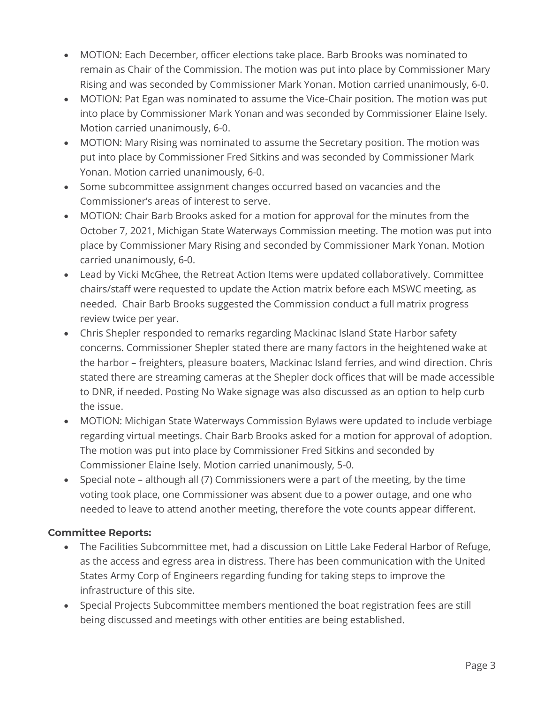- MOTION: Each December, officer elections take place. Barb Brooks was nominated to remain as Chair of the Commission. The motion was put into place by Commissioner Mary Rising and was seconded by Commissioner Mark Yonan. Motion carried unanimously, 6-0.
- MOTION: Pat Egan was nominated to assume the Vice-Chair position. The motion was put into place by Commissioner Mark Yonan and was seconded by Commissioner Elaine Isely. Motion carried unanimously, 6-0.
- MOTION: Mary Rising was nominated to assume the Secretary position. The motion was put into place by Commissioner Fred Sitkins and was seconded by Commissioner Mark Yonan. Motion carried unanimously, 6-0.
- Some subcommittee assignment changes occurred based on vacancies and the Commissioner's areas of interest to serve.
- MOTION: Chair Barb Brooks asked for a motion for approval for the minutes from the October 7, 2021, Michigan State Waterways Commission meeting. The motion was put into place by Commissioner Mary Rising and seconded by Commissioner Mark Yonan. Motion carried unanimously, 6-0.
- Lead by Vicki McGhee, the Retreat Action Items were updated collaboratively. Committee chairs/staff were requested to update the Action matrix before each MSWC meeting, as needed. Chair Barb Brooks suggested the Commission conduct a full matrix progress review twice per year.
- Chris Shepler responded to remarks regarding Mackinac Island State Harbor safety concerns. Commissioner Shepler stated there are many factors in the heightened wake at the harbor – freighters, pleasure boaters, Mackinac Island ferries, and wind direction. Chris stated there are streaming cameras at the Shepler dock offices that will be made accessible to DNR, if needed. Posting No Wake signage was also discussed as an option to help curb the issue.
- MOTION: Michigan State Waterways Commission Bylaws were updated to include verbiage regarding virtual meetings. Chair Barb Brooks asked for a motion for approval of adoption. The motion was put into place by Commissioner Fred Sitkins and seconded by Commissioner Elaine Isely. Motion carried unanimously, 5-0.
- Special note although all (7) Commissioners were a part of the meeting, by the time voting took place, one Commissioner was absent due to a power outage, and one who needed to leave to attend another meeting, therefore the vote counts appear different.

# **Committee Reports:**

- The Facilities Subcommittee met, had a discussion on Little Lake Federal Harbor of Refuge, as the access and egress area in distress. There has been communication with the United States Army Corp of Engineers regarding funding for taking steps to improve the infrastructure of this site.
- Special Projects Subcommittee members mentioned the boat registration fees are still being discussed and meetings with other entities are being established.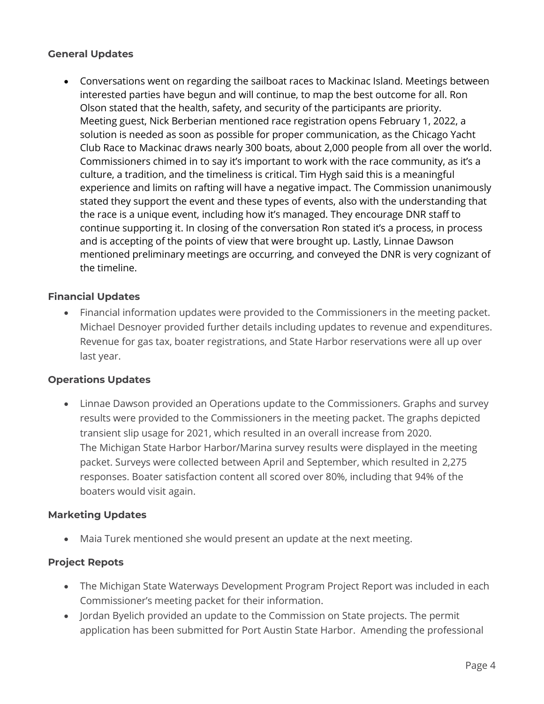# **General Updates**

• Conversations went on regarding the sailboat races to Mackinac Island. Meetings between interested parties have begun and will continue, to map the best outcome for all. Ron Olson stated that the health, safety, and security of the participants are priority. Meeting guest, Nick Berberian mentioned race registration opens February 1, 2022, a solution is needed as soon as possible for proper communication, as the Chicago Yacht Club Race to Mackinac draws nearly 300 boats, about 2,000 people from all over the world. Commissioners chimed in to say it's important to work with the race community, as it's a culture, a tradition, and the timeliness is critical. Tim Hygh said this is a meaningful experience and limits on rafting will have a negative impact. The Commission unanimously stated they support the event and these types of events, also with the understanding that the race is a unique event, including how it's managed. They encourage DNR staff to continue supporting it. In closing of the conversation Ron stated it's a process, in process and is accepting of the points of view that were brought up. Lastly, Linnae Dawson mentioned preliminary meetings are occurring, and conveyed the DNR is very cognizant of the timeline.

# **Financial Updates**

• Financial information updates were provided to the Commissioners in the meeting packet. Michael Desnoyer provided further details including updates to revenue and expenditures. Revenue for gas tax, boater registrations, and State Harbor reservations were all up over last year.

## **Operations Updates**

• Linnae Dawson provided an Operations update to the Commissioners. Graphs and survey results were provided to the Commissioners in the meeting packet. The graphs depicted transient slip usage for 2021, which resulted in an overall increase from 2020. The Michigan State Harbor Harbor/Marina survey results were displayed in the meeting packet. Surveys were collected between April and September, which resulted in 2,275 responses. Boater satisfaction content all scored over 80%, including that 94% of the boaters would visit again.

## **Marketing Updates**

• Maia Turek mentioned she would present an update at the next meeting.

## **Project Repots**

- The Michigan State Waterways Development Program Project Report was included in each Commissioner's meeting packet for their information.
- Jordan Byelich provided an update to the Commission on State projects. The permit application has been submitted for Port Austin State Harbor. Amending the professional